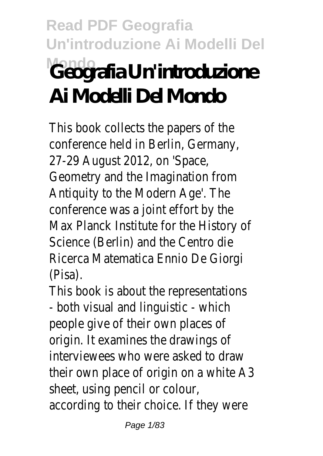# **Read PDF Geografia Un'introduzione Ai Modelli Del Mondo Geografia Un'introduzione Ai Modelli Del Mondo**

This book collects the papers of the conference held in Berlin, Germany, 27-29 August 2012, on 'Space, Geometry and the Imagination from Antiquity to the Modern Age'. The conference was a joint effort by the Max Planck Institute for the History of Science (Berlin) and the Centro die Ricerca Matematica Ennio De Giorgi (Pisa).

This book is about the representations - both visual and linguistic - which people give of their own places of origin. It examines the drawings of interviewees who were asked to draw their own place of origin on a white A3 sheet, using pencil or colour, according to their choice. If they were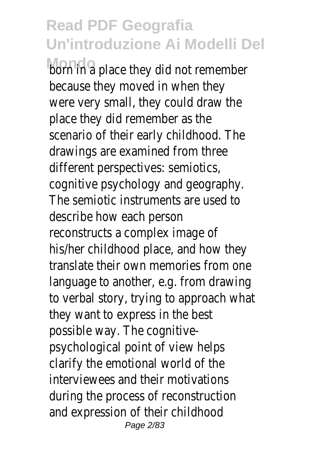**born in a place they did not remember** because they moved in when they were very small, they could draw the place they did remember as the scenario of their early childhood. The drawings are examined from three different perspectives: semiotics, cognitive psychology and geography. The semiotic instruments are used to describe how each person reconstructs a complex image of his/her childhood place, and how they translate their own memories from one language to another, e.g. from drawing to verbal story, trying to approach what they want to express in the best possible way. The cognitivepsychological point of view helps clarify the emotional world of the interviewees and their motivations during the process of reconstruction and expression of their childhood Page 2/83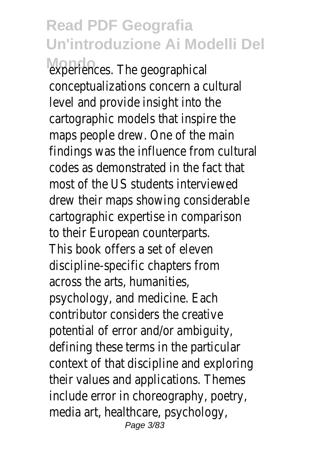experiences. The geographical conceptualizations concern a cultural level and provide insight into the cartographic models that inspire the maps people drew. One of the main findings was the influence from cultural codes as demonstrated in the fact that most of the US students interviewed drew their maps showing considerable cartographic expertise in comparison to their European counterparts. This book offers a set of eleven discipline-specific chapters from across the arts, humanities, psychology, and medicine. Each contributor considers the creative potential of error and/or ambiguity, defining these terms in the particular context of that discipline and exploring their values and applications. Themes include error in choreography, poetry, media art, healthcare, psychology, Page 3/83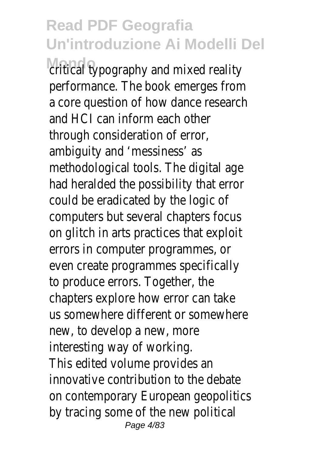critical typography and mixed reality performance. The book emerges from a core question of how dance research and HCI can inform each other through consideration of error, ambiguity and 'messiness' as methodological tools. The digital age had heralded the possibility that error could be eradicated by the logic of computers but several chapters focus on glitch in arts practices that exploit errors in computer programmes, or even create programmes specifically to produce errors. Together, the chapters explore how error can take us somewhere different or somewhere new, to develop a new, more interesting way of working. This edited volume provides an innovative contribution to the debate on contemporary European geopolitics by tracing some of the new political Page 4/83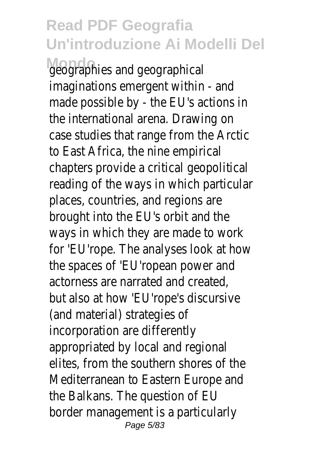**Mondo** geographies and geographical imaginations emergent within - and made possible by - the EU's actions in the international arena. Drawing on case studies that range from the Arctic to East Africa, the nine empirical chapters provide a critical geopolitical reading of the ways in which particular places, countries, and regions are brought into the EU's orbit and the ways in which they are made to work for 'EU'rope. The analyses look at how the spaces of 'EU'ropean power and actorness are narrated and created, but also at how 'EU'rope's discursive (and material) strategies of incorporation are differently appropriated by local and regional elites, from the southern shores of the Mediterranean to Eastern Europe and the Balkans. The question of EU border management is a particularly Page 5/83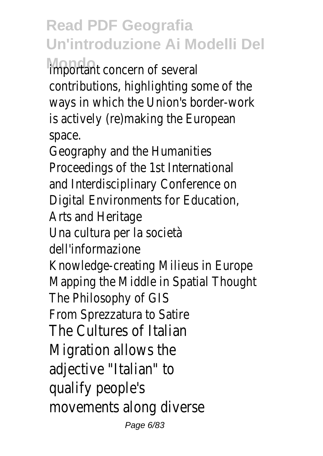important concern of several contributions, highlighting some of the ways in which the Union's border-work is actively (re)making the European space.

Geography and the Humanities Proceedings of the 1st International and Interdisciplinary Conference on Digital Environments for Education, Arts and Heritage Una cultura per la società dell'informazione Knowledge-creating Milieus in Europe Mapping the Middle in Spatial Thought The Philosophy of GIS From Sprezzatura to Satire The Cultures of Italian Migration allows the adjective "Italian" to qualify people's movements along diverse Page 6/83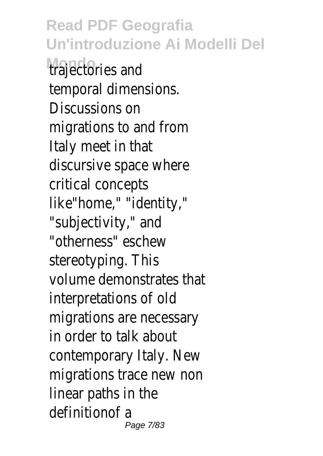**Read PDF Geografia Un'introduzione Ai Modelli Del Mondo** trajectories and temporal dimensions. Discussions on migrations to and from Italy meet in that discursive space where critical concepts like"home," "identity," "subjectivity," and "otherness" eschew stereotyping. This volume demonstrates that interpretations of old migrations are necessary in order to talk about contemporary Italy. New migrations trace new non linear paths in the definitionof a Page 7/83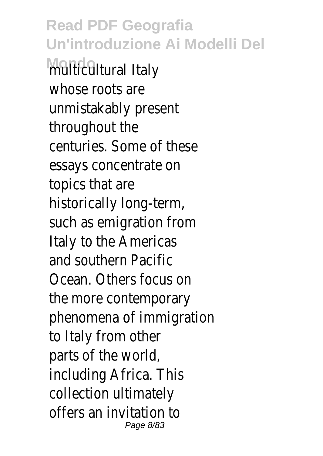**Read PDF Geografia Un'introduzione Ai Modelli Del Mondo** multicultural Italy whose roots are unmistakably present throughout the centuries. Some of these essays concentrate on topics that are historically long-term, such as emigration from Italy to the Americas and southern Pacific Ocean. Others focus on the more contemporary phenomena of immigration to Italy from other parts of the world, including Africa. This collection ultimately offers an invitation to Page 8/83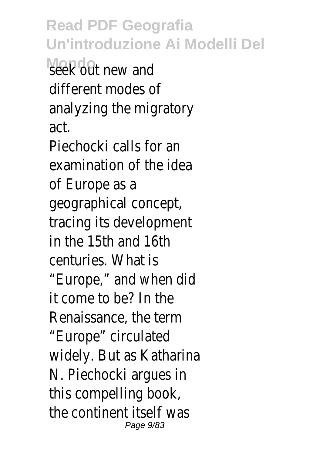**Read PDF Geografia Un'introduzione Ai Modelli Del** seek out new and different modes of analyzing the migratory act. Piechocki calls for an examination of the idea of Europe as a geographical concept, tracing its development in the 15th and 16th centuries. What is "Europe," and when did it come to be? In the Renaissance, the term "Europe" circulated widely. But as Katharina N. Piechocki argues in this compelling book, the continent itself was Page 9/83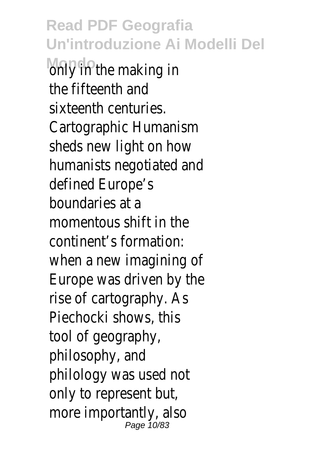**Read PDF Geografia Un'introduzione Ai Modelli Del** only in the making in the fifteenth and sixteenth centuries. Cartographic Humanism sheds new light on how humanists negotiated and defined Europe's boundaries at a momentous shift in the continent's formation: when a new imagining of Europe was driven by the rise of cartography. As Piechocki shows, this tool of geography, philosophy, and philology was used not only to represent but, more importantly, also Page 10/83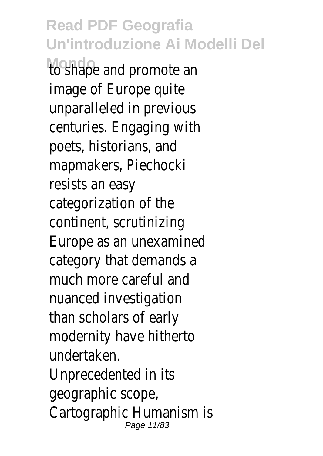**Read PDF Geografia Un'introduzione Ai Modelli Del Mondo** to shape and promote an image of Europe quite unparalleled in previous centuries. Engaging with poets, historians, and mapmakers, Piechocki resists an easy categorization of the continent, scrutinizing Europe as an unexamined category that demands a much more careful and nuanced investigation than scholars of early modernity have hitherto undertaken. Unprecedented in its geographic scope, Cartographic Humanism is Page 11/83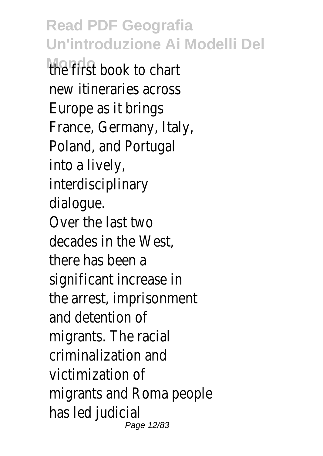**Mondo** the first book to chart new itineraries across Europe as it brings France, Germany, Italy, Poland, and Portugal into a lively, interdisciplinary dialogue. Over the last two decades in the West, there has been a significant increase in the arrest, imprisonment and detention of migrants. The racial criminalization and victimization of migrants and Roma people has led judicial Page 12/83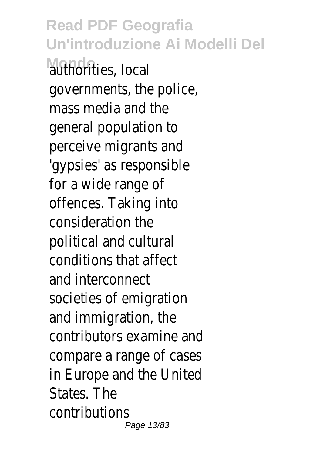**Read PDF Geografia Un'introduzione Ai Modelli Del** authorities, local governments, the police, mass media and the general population to perceive migrants and 'gypsies' as responsible for a wide range of offences. Taking into consideration the political and cultural conditions that affect and interconnect societies of emigration and immigration, the contributors examine and compare a range of cases in Europe and the United States. The contributions Page 13/83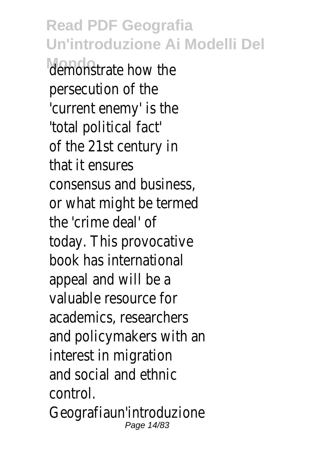**Read PDF Geografia Un'introduzione Ai Modelli Del Mondo** demonstrate how the persecution of the 'current enemy' is the 'total political fact' of the 21st century in that it ensures consensus and business, or what might be termed the 'crime deal' of today. This provocative book has international appeal and will be a valuable resource for academics, researchers and policymakers with an interest in migration and social and ethnic control. Geografiaun'introduzione Page 14/83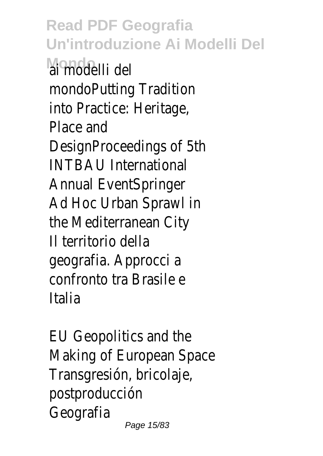**Read PDF Geografia Un'introduzione Ai Modelli Del Mondo** ai modelli del mondoPutting Tradition into Practice: Heritage, Place and DesignProceedings of 5th INTBAU International Annual EventSpringer Ad Hoc Urban Sprawl in the Mediterranean City Il territorio della geografia. Approcci a confronto tra Brasile e Italia

EU Geopolitics and the Making of European Space Transgresión, bricolaje, postproducción Geografia Page 15/83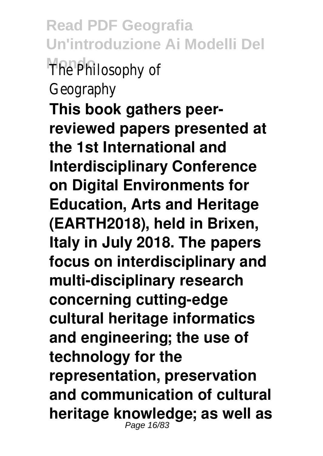**Read PDF Geografia Un'introduzione Ai Modelli Del Mondo** The Philosophy of Geography **This book gathers peerreviewed papers presented at the 1st International and Interdisciplinary Conference on Digital Environments for Education, Arts and Heritage (EARTH2018), held in Brixen, Italy in July 2018. The papers focus on interdisciplinary and multi-disciplinary research concerning cutting-edge cultural heritage informatics and engineering; the use of technology for the representation, preservation and communication of cultural heritage knowledge; as well as** Page 16/83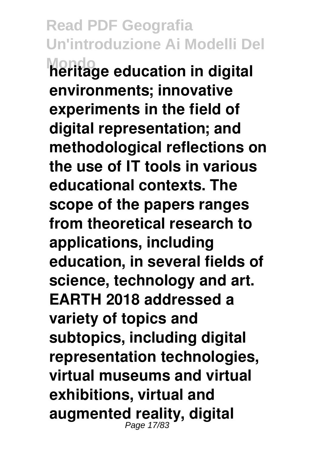**Read PDF Geografia Un'introduzione Ai Modelli Del Mondo heritage education in digital environments; innovative experiments in the field of digital representation; and methodological reflections on the use of IT tools in various educational contexts. The scope of the papers ranges from theoretical research to applications, including education, in several fields of science, technology and art. EARTH 2018 addressed a variety of topics and subtopics, including digital representation technologies, virtual museums and virtual exhibitions, virtual and augmented reality, digital** Page 17/83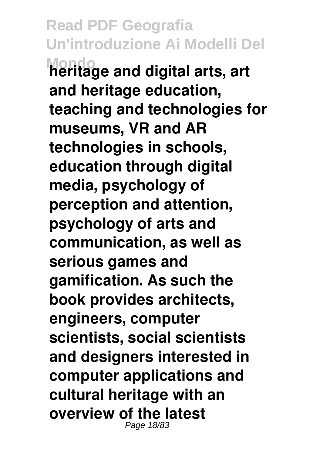**Read PDF Geografia Un'introduzione Ai Modelli Del Mondo heritage and digital arts, art and heritage education, teaching and technologies for museums, VR and AR technologies in schools, education through digital media, psychology of perception and attention, psychology of arts and communication, as well as serious games and gamification. As such the book provides architects, engineers, computer scientists, social scientists and designers interested in computer applications and cultural heritage with an overview of the latest** Page 18/83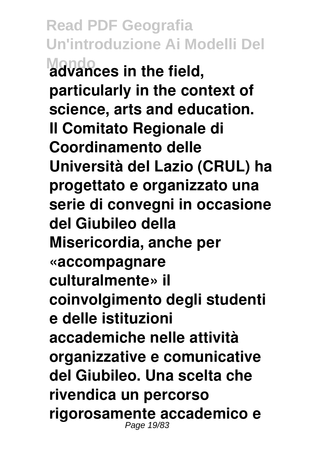**Read PDF Geografia Un'introduzione Ai Modelli Del Mondo advances in the field, particularly in the context of science, arts and education. Il Comitato Regionale di Coordinamento delle Università del Lazio (CRUL) ha progettato e organizzato una serie di convegni in occasione del Giubileo della Misericordia, anche per «accompagnare culturalmente» il coinvolgimento degli studenti e delle istituzioni accademiche nelle attività organizzative e comunicative del Giubileo. Una scelta che rivendica un percorso rigorosamente accademico e** Page 19/83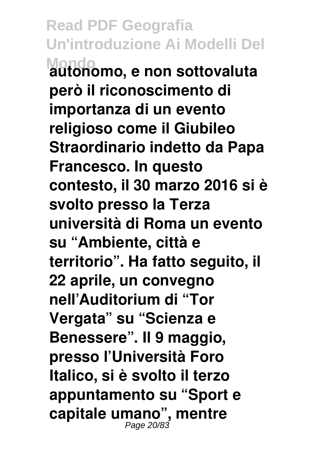**Read PDF Geografia Un'introduzione Ai Modelli Del Mondo autonomo, e non sottovaluta però il riconoscimento di importanza di un evento religioso come il Giubileo Straordinario indetto da Papa Francesco. In questo contesto, il 30 marzo 2016 si è svolto presso la Terza università di Roma un evento su "Ambiente, città e territorio". Ha fatto seguito, il 22 aprile, un convegno nell'Auditorium di "Tor Vergata" su "Scienza e Benessere". Il 9 maggio, presso l'Università Foro Italico, si è svolto il terzo appuntamento su "Sport e capitale umano", mentre** Page 20/83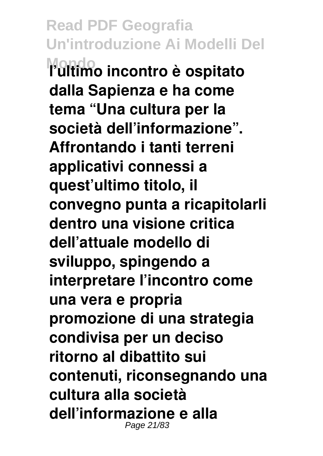**Read PDF Geografia Un'introduzione Ai Modelli Del Mondo l'ultimo incontro è ospitato dalla Sapienza e ha come tema "Una cultura per la società dell'informazione". Affrontando i tanti terreni applicativi connessi a quest'ultimo titolo, il convegno punta a ricapitolarli dentro una visione critica dell'attuale modello di sviluppo, spingendo a interpretare l'incontro come una vera e propria promozione di una strategia condivisa per un deciso ritorno al dibattito sui contenuti, riconsegnando una cultura alla società dell'informazione e alla** Page 21/83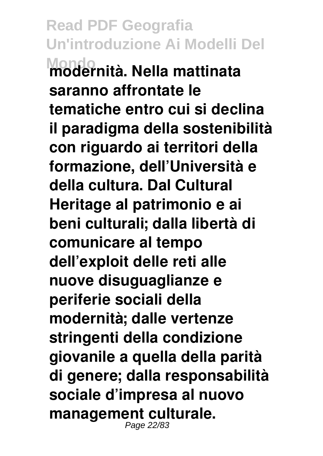**Read PDF Geografia Un'introduzione Ai Modelli Del Mondo modernità. Nella mattinata saranno affrontate le tematiche entro cui si declina il paradigma della sostenibilità con riguardo ai territori della formazione, dell'Università e della cultura. Dal Cultural Heritage al patrimonio e ai beni culturali; dalla libertà di comunicare al tempo dell'exploit delle reti alle nuove disuguaglianze e periferie sociali della modernità; dalle vertenze stringenti della condizione giovanile a quella della parità di genere; dalla responsabilità sociale d'impresa al nuovo management culturale.** Page 22/83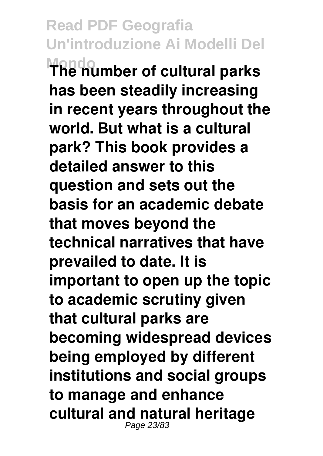**Read PDF Geografia Un'introduzione Ai Modelli Del Mondo The number of cultural parks has been steadily increasing in recent years throughout the world. But what is a cultural park? This book provides a detailed answer to this question and sets out the basis for an academic debate that moves beyond the technical narratives that have prevailed to date. It is important to open up the topic to academic scrutiny given that cultural parks are becoming widespread devices being employed by different institutions and social groups to manage and enhance cultural and natural heritage** Page 23/83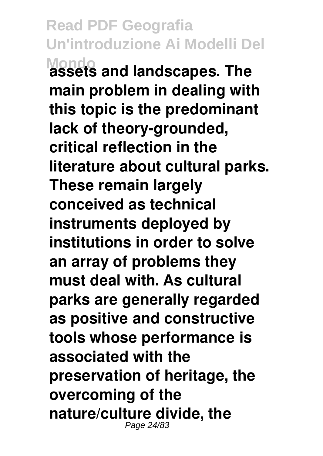**Read PDF Geografia Un'introduzione Ai Modelli Del Mondo assets and landscapes. The main problem in dealing with this topic is the predominant lack of theory-grounded, critical reflection in the literature about cultural parks. These remain largely conceived as technical instruments deployed by institutions in order to solve an array of problems they must deal with. As cultural parks are generally regarded as positive and constructive tools whose performance is associated with the preservation of heritage, the overcoming of the nature/culture divide, the** Page 24/83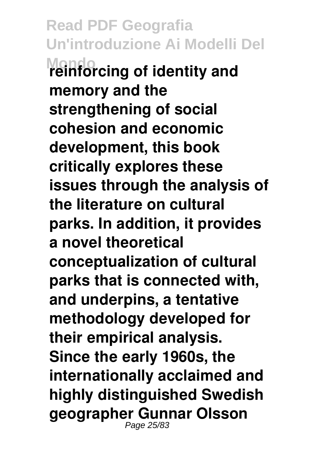**Read PDF Geografia Un'introduzione Ai Modelli Del Mondo reinforcing of identity and memory and the strengthening of social cohesion and economic development, this book critically explores these issues through the analysis of the literature on cultural parks. In addition, it provides a novel theoretical conceptualization of cultural parks that is connected with, and underpins, a tentative methodology developed for their empirical analysis. Since the early 1960s, the internationally acclaimed and highly distinguished Swedish geographer Gunnar Olsson** Page 25/83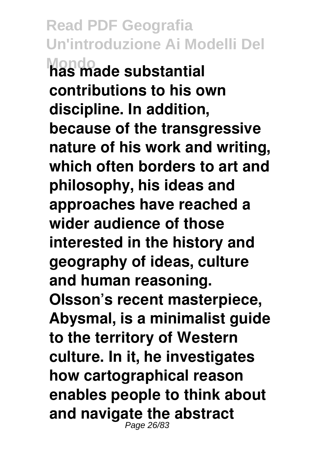**Read PDF Geografia Un'introduzione Ai Modelli Del Mondo has made substantial contributions to his own discipline. In addition, because of the transgressive nature of his work and writing, which often borders to art and philosophy, his ideas and approaches have reached a wider audience of those interested in the history and geography of ideas, culture and human reasoning. Olsson's recent masterpiece, Abysmal, is a minimalist guide to the territory of Western culture. In it, he investigates how cartographical reason enables people to think about and navigate the abstract** Page 26/8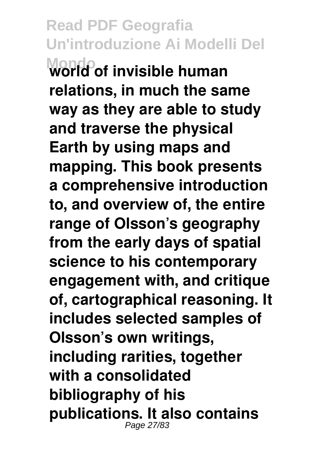**Read PDF Geografia Un'introduzione Ai Modelli Del Mondo world of invisible human relations, in much the same way as they are able to study and traverse the physical Earth by using maps and mapping. This book presents a comprehensive introduction to, and overview of, the entire range of Olsson's geography from the early days of spatial science to his contemporary engagement with, and critique of, cartographical reasoning. It includes selected samples of Olsson's own writings, including rarities, together with a consolidated bibliography of his publications. It also contains** Page 27/83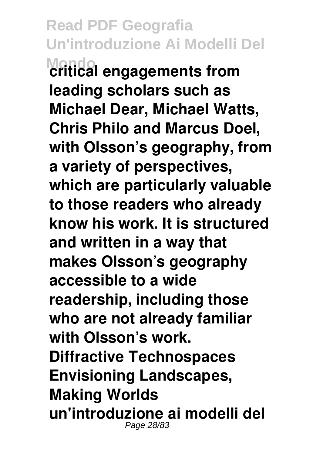**Read PDF Geografia Un'introduzione Ai Modelli Del Mondo critical engagements from leading scholars such as Michael Dear, Michael Watts, Chris Philo and Marcus Doel, with Olsson's geography, from a variety of perspectives, which are particularly valuable to those readers who already know his work. It is structured and written in a way that makes Olsson's geography accessible to a wide readership, including those who are not already familiar with Olsson's work. Diffractive Technospaces Envisioning Landscapes, Making Worlds un'introduzione ai modelli del** Page 28/83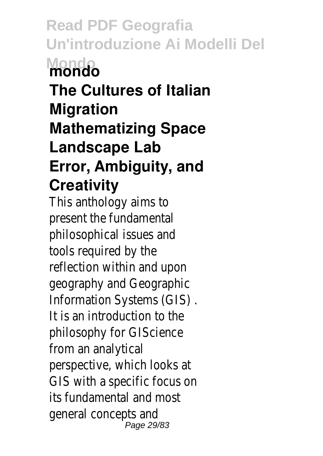**Read PDF Geografia Un'introduzione Ai Modelli Del Mondo mondo The Cultures of Italian Migration Mathematizing Space Landscape Lab Error, Ambiguity, and**

#### **Creativity**

This anthology aims to present the fundamental philosophical issues and tools required by the reflection within and upon geography and Geographic Information Systems (GIS) . It is an introduction to the philosophy for GIScience from an analytical perspective, which looks at GIS with a specific focus on its fundamental and most general concepts and Page 29/83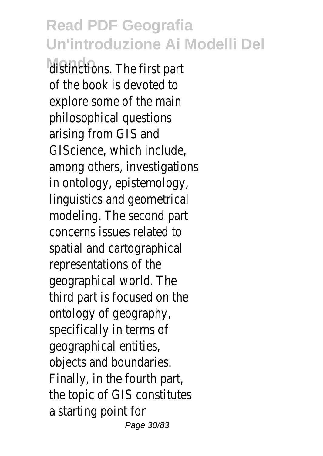distinctions. The first part of the book is devoted to explore some of the main philosophical questions arising from GIS and GIScience, which include, among others, investigations in ontology, epistemology, linguistics and geometrical modeling. The second part concerns issues related to spatial and cartographical representations of the geographical world. The third part is focused on the ontology of geography, specifically in terms of geographical entities, objects and boundaries. Finally, in the fourth part, the topic of GIS constitutes a starting point for Page 30/83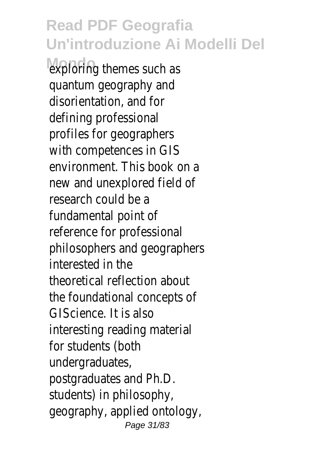exploring themes such as quantum geography and disorientation, and for defining professional profiles for geographers with competences in GIS environment. This book on a new and unexplored field of research could be a fundamental point of reference for professional philosophers and geographers interested in the theoretical reflection about the foundational concepts of GIScience. It is also interesting reading material for students (both undergraduates, postgraduates and Ph.D. students) in philosophy, geography, applied ontology, Page 31/83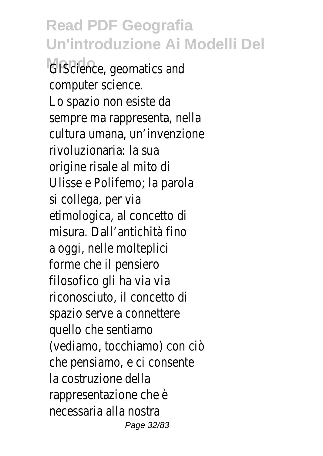**GIScience**, geomatics and computer science. Lo spazio non esiste da sempre ma rappresenta, nella cultura umana, un'invenzione rivoluzionaria: la sua origine risale al mito di Ulisse e Polifemo; la parola si collega, per via etimologica, al concetto di misura. Dall'antichità fino a oggi, nelle molteplici forme che il pensiero filosofico gli ha via via riconosciuto, il concetto di spazio serve a connettere quello che sentiamo (vediamo, tocchiamo) con ciò che pensiamo, e ci consente la costruzione della rappresentazione che è necessaria alla nostra Page 32/83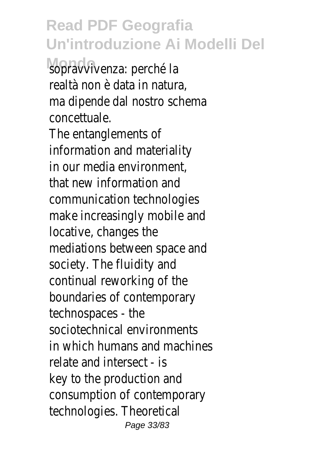sopravvivenza: perché la realtà non è data in natura, ma dipende dal nostro schema concettuale.

The entanglements of information and materiality in our media environment, that new information and communication technologies make increasingly mobile and locative, changes the mediations between space and society. The fluidity and continual reworking of the boundaries of contemporary technospaces - the sociotechnical environments in which humans and machines relate and intersect - is key to the production and consumption of contemporary technologies. Theoretical Page 33/83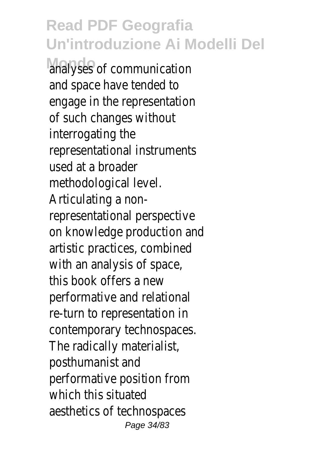analyses of communication and space have tended to engage in the representation of such changes without interrogating the representational instruments used at a broader methodological level. Articulating a nonrepresentational perspective on knowledge production and artistic practices, combined with an analysis of space, this book offers a new performative and relational re-turn to representation in contemporary technospaces. The radically materialist, posthumanist and performative position from which this situated aesthetics of technospaces Page 34/83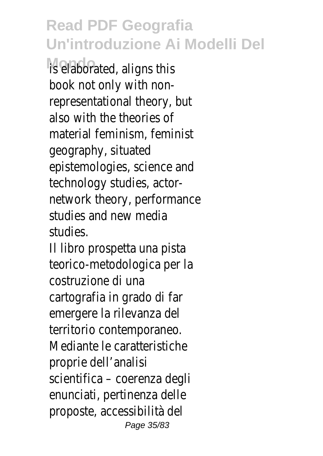is elaborated, aligns this book not only with nonrepresentational theory, but also with the theories of material feminism, feminist geography, situated epistemologies, science and technology studies, actornetwork theory, performance studies and new media studies.

Il libro prospetta una pista teorico-metodologica per la costruzione di una cartografia in grado di far emergere la rilevanza del territorio contemporaneo. Mediante le caratteristiche proprie dell'analisi scientifica – coerenza degli enunciati, pertinenza delle proposte, accessibilità del Page 35/83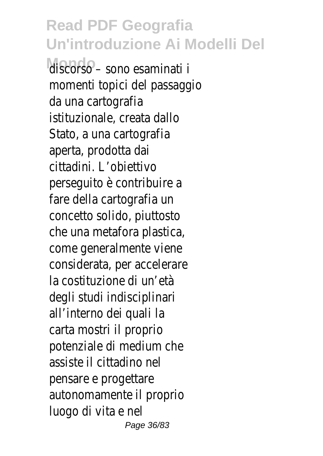**Mondo** discorso – sono esaminati i momenti topici del passaggio da una cartografia istituzionale, creata dallo Stato, a una cartografia aperta, prodotta dai cittadini. L'obiettivo perseguito è contribuire a fare della cartografia un concetto solido, piuttosto che una metafora plastica, come generalmente viene considerata, per accelerare la costituzione di un'età degli studi indisciplinari all'interno dei quali la carta mostri il proprio potenziale di medium che assiste il cittadino nel pensare e progettare autonomamente il proprio luogo di vita e nel Page 36/83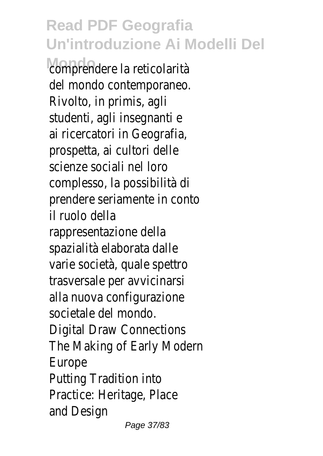comprendere la reticolarità del mondo contemporaneo. Rivolto, in primis, agli studenti, agli insegnanti e ai ricercatori in Geografia, prospetta, ai cultori delle scienze sociali nel loro complesso, la possibilità di prendere seriamente in conto il ruolo della rappresentazione della spazialità elaborata dalle varie società, quale spettro trasversale per avvicinarsi alla nuova configurazione societale del mondo. Digital Draw Connections The Making of Early Modern Europe Putting Tradition into Practice: Heritage, Place and Design Page 37/83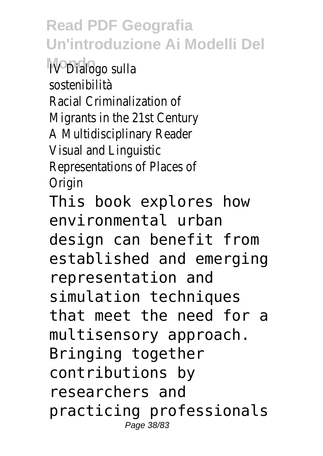**Mondo** IV Dialogo sulla sostenibilità Racial Criminalization of Migrants in the 21st Century A Multidisciplinary Reader Visual and Linguistic Representations of Places of **Origin** 

This book explores how environmental urban design can benefit from established and emerging representation and simulation techniques that meet the need for a multisensory approach. Bringing together contributions by researchers and practicing professionals Page 38/83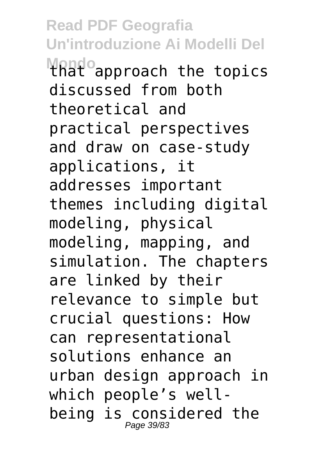**Read PDF Geografia Un'introduzione Ai Modelli Del MANDO** approach the topics discussed from both theoretical and practical perspectives and draw on case-study applications, it addresses important themes including digital modeling, physical modeling, mapping, and simulation. The chapters are linked by their relevance to simple but crucial questions: How can representational solutions enhance an urban design approach in which people's wellbeing is considered the Page 39/83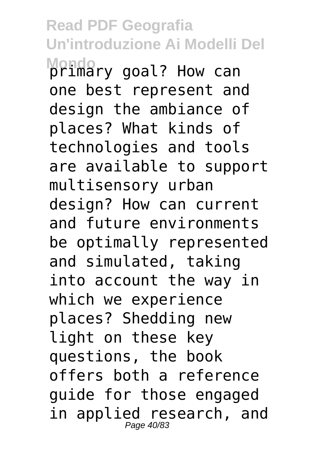#### **Read PDF Geografia Un'introduzione Ai Modelli Del Mondo** primary goal? How can

one best represent and design the ambiance of places? What kinds of technologies and tools are available to support multisensory urban design? How can current and future environments be optimally represented and simulated, taking into account the way in which we experience places? Shedding new light on these key questions, the book offers both a reference guide for those engaged in applied research, and Page 40/83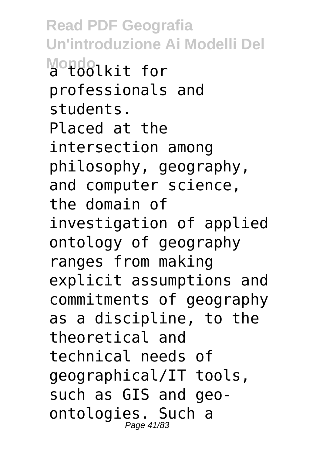**Read PDF Geografia Un'introduzione Ai Modelli Del Mondolkit** for professionals and students. Placed at the intersection among philosophy, geography, and computer science, the domain of investigation of applied ontology of geography ranges from making explicit assumptions and commitments of geography as a discipline, to the theoretical and technical needs of geographical/IT tools, such as GIS and geoontologies. Such a Page 41/83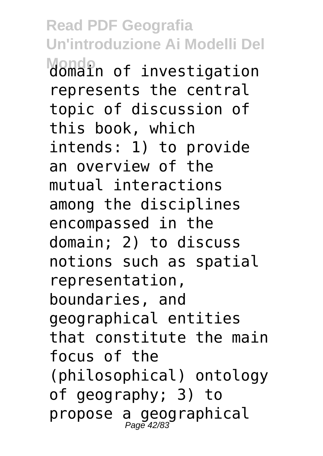**Read PDF Geografia Un'introduzione Ai Modelli Del Mondin** of investigation represents the central topic of discussion of this book, which intends: 1) to provide an overview of the mutual interactions among the disciplines encompassed in the domain; 2) to discuss notions such as spatial representation, boundaries, and geographical entities that constitute the main focus of the (philosophical) ontology of geography; 3) to propose a geographical<br>Page 42/83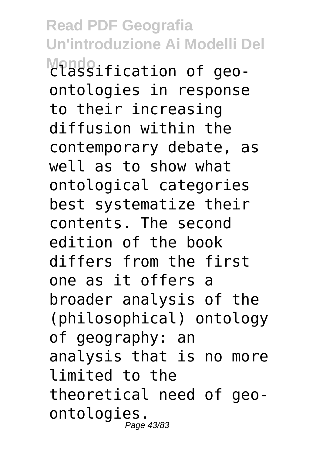**Read PDF Geografia Un'introduzione Ai Modelli Del Mondo** classification of geoontologies in response to their increasing diffusion within the contemporary debate, as well as to show what ontological categories best systematize their contents. The second edition of the book differs from the first one as it offers a broader analysis of the (philosophical) ontology of geography: an analysis that is no more limited to the theoretical need of geoontologies. Page 43/83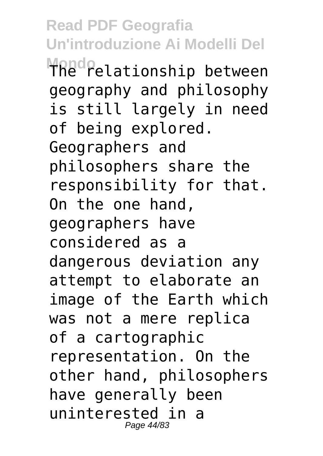**Read PDF Geografia Un'introduzione Ai Modelli Del Mondo** The relationship between geography and philosophy is still largely in need of being explored. Geographers and philosophers share the responsibility for that. On the one hand, geographers have considered as a dangerous deviation any attempt to elaborate an image of the Earth which was not a mere replica of a cartographic representation. On the other hand, philosophers have generally been uninterested in a Page 44/83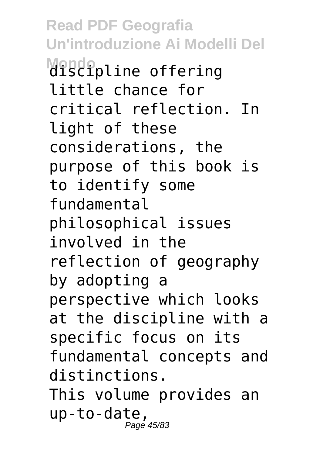**Read PDF Geografia Un'introduzione Ai Modelli Del Mondo** discipline offering little chance for critical reflection. In light of these considerations, the purpose of this book is to identify some fundamental philosophical issues involved in the reflection of geography by adopting a perspective which looks at the discipline with a specific focus on its fundamental concepts and distinctions. This volume provides an up-to-date, Page 45/83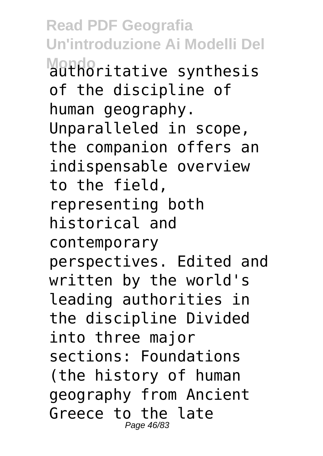**Read PDF Geografia Un'introduzione Ai Modelli Del Motho**ritative synthesis of the discipline of human geography. Unparalleled in scope, the companion offers an indispensable overview to the field, representing both historical and contemporary perspectives. Edited and written by the world's leading authorities in the discipline Divided into three major sections: Foundations (the history of human geography from Ancient Greece to the late Page 46/83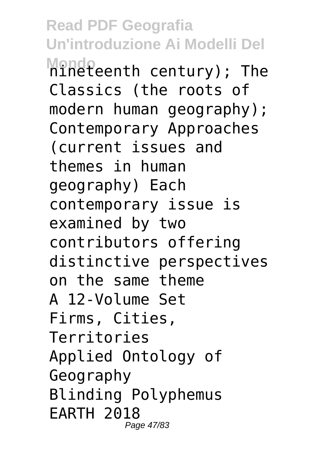**Read PDF Geografia Un'introduzione Ai Modelli Del Mindleenth century); The** Classics (the roots of modern human geography); Contemporary Approaches (current issues and themes in human geography) Each contemporary issue is examined by two contributors offering distinctive perspectives on the same theme A 12-Volume Set Firms, Cities, Territories Applied Ontology of Geography Blinding Polyphemus EARTH 2018 Page 47/83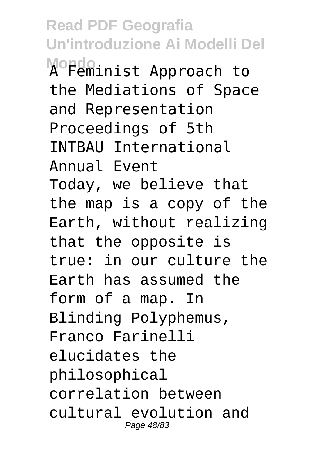**Read PDF Geografia Un'introduzione Ai Modelli Del Mordoinist Approach to** the Mediations of Space and Representation Proceedings of 5th INTBAU International Annual Event Today, we believe that the map is a copy of the Earth, without realizing that the opposite is true: in our culture the Earth has assumed the form of a map. In Blinding Polyphemus, Franco Farinelli elucidates the philosophical correlation between cultural evolution and Page 48/83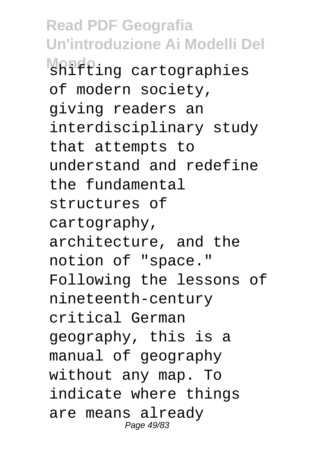**Read PDF Geografia Un'introduzione Ai Modelli Del Mondo** shifting cartographies of modern society, giving readers an interdisciplinary study that attempts to understand and redefine the fundamental structures of cartography, architecture, and the notion of "space." Following the lessons of nineteenth-century critical German geography, this is a manual of geography without any map. To indicate where things are means already Page 49/83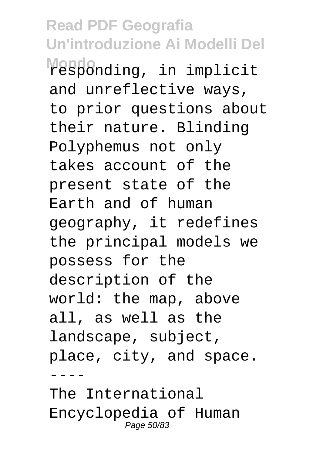**Read PDF Geografia Un'introduzione Ai Modelli Del Mondo** responding, in implicit and unreflective ways, to prior questions about their nature. Blinding Polyphemus not only takes account of the present state of the Earth and of human geography, it redefines the principal models we possess for the description of the world: the map, above all, as well as the landscape, subject, place, city, and space.  $- - - -$ 

The International Encyclopedia of Human Page 50/83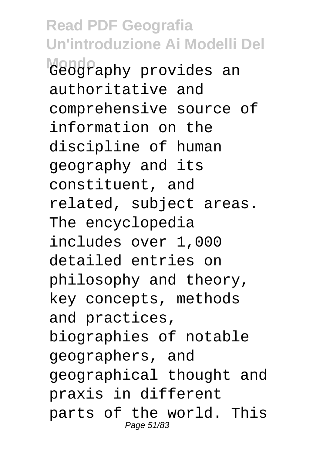**Read PDF Geografia Un'introduzione Ai Modelli Del Mondo** Geography provides an authoritative and comprehensive source of information on the discipline of human geography and its constituent, and related, subject areas. The encyclopedia includes over 1,000 detailed entries on philosophy and theory, key concepts, methods and practices, biographies of notable geographers, and geographical thought and praxis in different parts of the world. This Page 51/83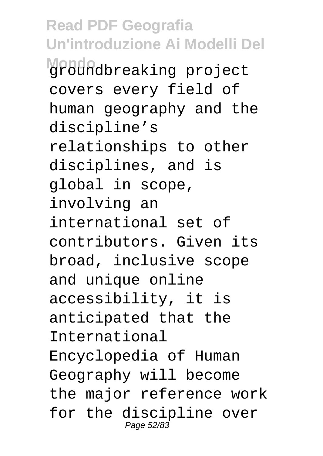**Read PDF Geografia Un'introduzione Ai Modelli Del Mondo** groundbreaking project covers every field of human geography and the discipline's relationships to other disciplines, and is global in scope, involving an international set of contributors. Given its broad, inclusive scope and unique online accessibility, it is anticipated that the International Encyclopedia of Human Geography will become the major reference work for the discipline over Page 52/83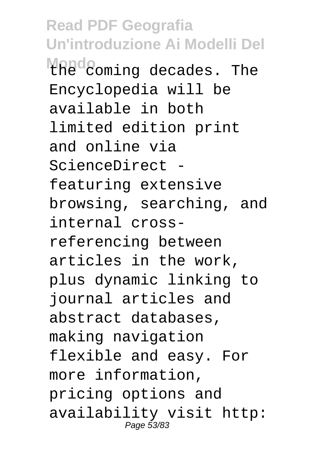**Read PDF Geografia Un'introduzione Ai Modelli Del** Mondo<br> *Mondo* coming decades. The Encyclopedia will be available in both limited edition print and online via ScienceDirect featuring extensive browsing, searching, and internal crossreferencing between articles in the work, plus dynamic linking to journal articles and abstract databases, making navigation flexible and easy. For more information, pricing options and availability visit http: Page 53/83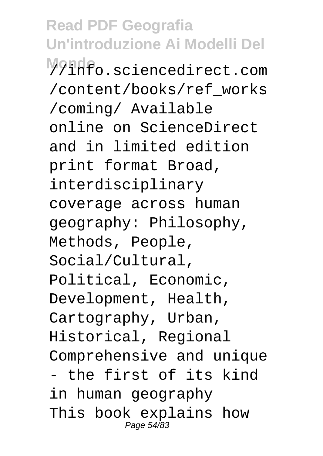**Read PDF Geografia Un'introduzione Ai Modelli Del Mondo** //info.sciencedirect.com /content/books/ref\_works /coming/ Available online on ScienceDirect and in limited edition print format Broad, interdisciplinary coverage across human geography: Philosophy, Methods, People, Social/Cultural, Political, Economic, Development, Health, Cartography, Urban, Historical, Regional Comprehensive and unique - the first of its kind in human geography This book explains how Page 54/83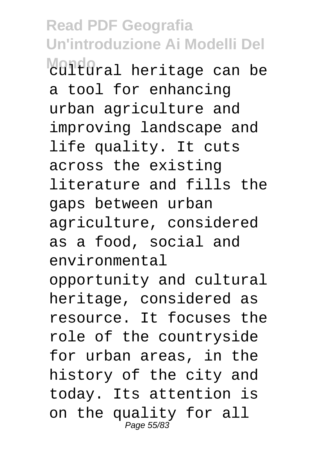**Mondo**<br>Cultural heritage can be a tool for enhancing urban agriculture and improving landscape and life quality. It cuts across the existing literature and fills the gaps between urban agriculture, considered as a food, social and environmental opportunity and cultural heritage, considered as resource. It focuses the role of the countryside for urban areas, in the history of the city and today. Its attention is on the quality for all Page 55/83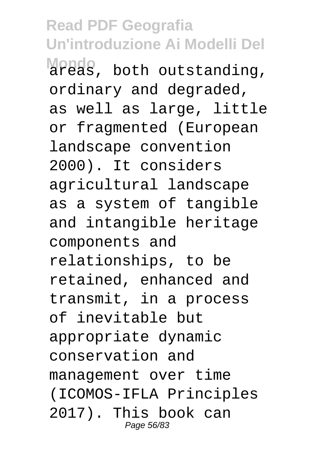**Read PDF Geografia Un'introduzione Ai Modelli Del Mondo** areas, both outstanding, ordinary and degraded, as well as large, little or fragmented (European landscape convention 2000). It considers agricultural landscape as a system of tangible and intangible heritage components and relationships, to be retained, enhanced and transmit, in a process of inevitable but appropriate dynamic conservation and management over time (ICOMOS-IFLA Principles 2017). This book can Page 56/83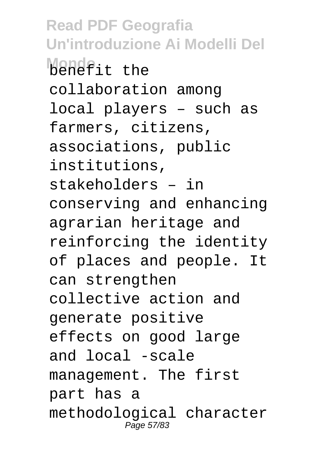**Read PDF Geografia Un'introduzione Ai Modelli Del Mondo**it the collaboration among local players – such as farmers, citizens, associations, public institutions, stakeholders – in conserving and enhancing agrarian heritage and reinforcing the identity of places and people. It can strengthen collective action and generate positive effects on good large and local -scale management. The first part has a methodological character Page 57/83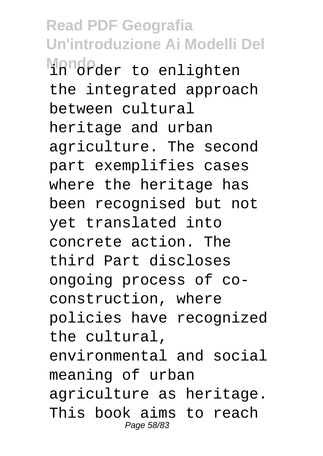**Read PDF Geografia Un'introduzione Ai Modelli Del** Mondo<br>1n order to enlighten the integrated approach between cultural heritage and urban agriculture. The second part exemplifies cases where the heritage has been recognised but not yet translated into concrete action. The third Part discloses ongoing process of coconstruction, where policies have recognized the cultural, environmental and social meaning of urban agriculture as heritage. This book aims to reach Page 58/83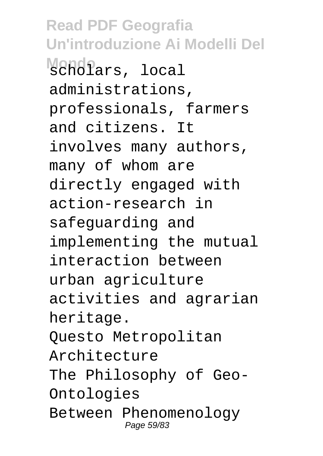**Read PDF Geografia Un'introduzione Ai Modelli Del Mondo** scholars, local administrations, professionals, farmers and citizens. It involves many authors, many of whom are directly engaged with action-research in safeguarding and implementing the mutual interaction between urban agriculture activities and agrarian heritage. Questo Metropolitan Architecture The Philosophy of Geo-Ontologies Between Phenomenology Page 59/83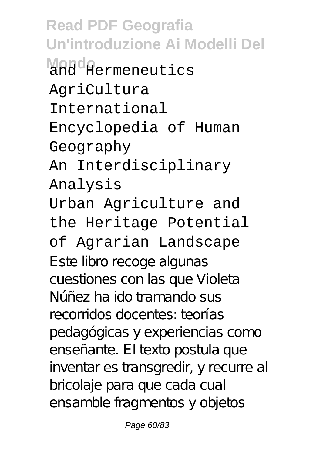**Read PDF Geografia Un'introduzione Ai Modelli Del Mondo** and Hermeneutics AgriCultura International Encyclopedia of Human Geography An Interdisciplinary Analysis Urban Agriculture and the Heritage Potential of Agrarian Landscape Este libro recoge algunas cuestiones con las que Violeta Núñez ha ido tramando sus recorridos docentes: teorías pedagógicas y experiencias como enseñante. El texto postula que inventar es transgredir, y recurre al bricolaje para que cada cual ensamble fragmentos y objetos

Page 60/83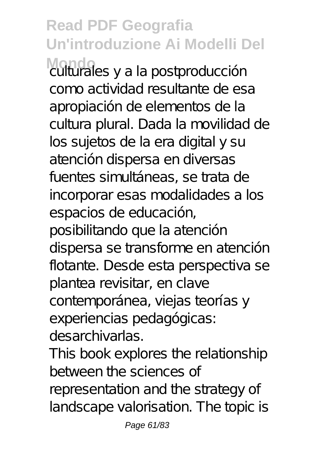**Mondo** culturales y a la postproducción como actividad resultante de esa apropiación de elementos de la cultura plural. Dada la movilidad de los sujetos de la era digital y su atención dispersa en diversas fuentes simultáneas, se trata de incorporar esas modalidades a los espacios de educación, posibilitando que la atención dispersa se transforme en atención flotante. Desde esta perspectiva se plantea revisitar, en clave contemporánea, viejas teorías y experiencias pedagógicas: desarchivarlas.

This book explores the relationship between the sciences of representation and the strategy of landscape valorisation. The topic is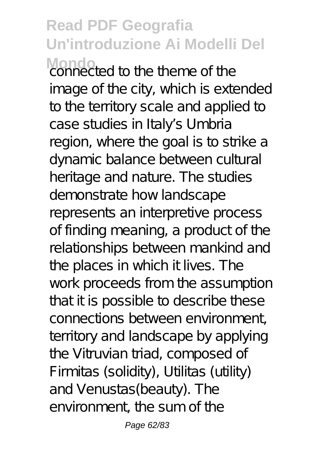**Mondo** connected to the theme of the image of the city, which is extended to the territory scale and applied to case studies in Italy's Umbria region, where the goal is to strike a dynamic balance between cultural heritage and nature. The studies demonstrate how landscape represents an interpretive process of finding meaning, a product of the relationships between mankind and the places in which it lives. The work proceeds from the assumption that it is possible to describe these connections between environment, territory and landscape by applying the Vitruvian triad, composed of Firmitas (solidity), Utilitas (utility) and Venustas(beauty). The environment, the sum of the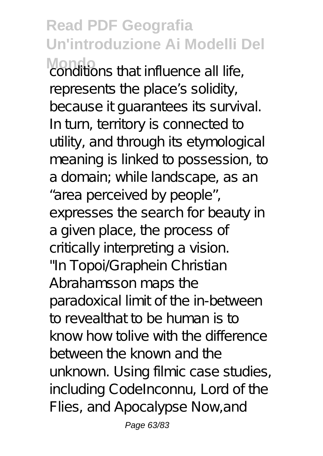**Read PDF Geografia Un'introduzione Ai Modelli Del** Monditions that influence all life,

represents the place's solidity, because it guarantees its survival. In turn, territory is connected to utility, and through its etymological meaning is linked to possession, to a domain; while landscape, as an

"area perceived by people", expresses the search for beauty in a given place, the process of critically interpreting a vision. "In Topoi/Graphein Christian Abrahamsson maps the paradoxical limit of the in-between to revealthat to be human is to know how tolive with the difference between the known and the unknown. Using filmic case studies, including CodeInconnu, Lord of the Flies, and Apocalypse Now,and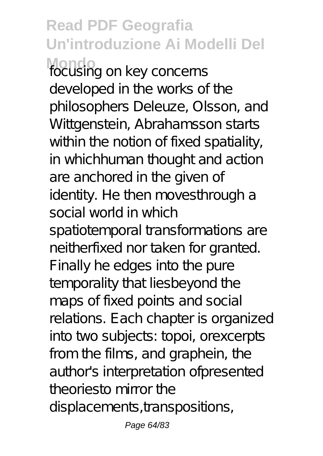**Read PDF Geografia Un'introduzione Ai Modelli Del Mondo** focusing on key concerns developed in the works of the philosophers Deleuze, Olsson, and Wittgenstein, Abrahamsson starts within the notion of fixed spatiality, in whichhuman thought and action are anchored in the given of identity. He then moves through a social world in which spatiotemporal transformations are neitherfixed nor taken for granted. Finally he edges into the pure temporality that liesbeyond the maps of fixed points and social relations. Each chapter is organized into two subjects: topoi, orexcerpts from the films, and graphein, the author's interpretation ofpresented theoriesto mirror the displacements, transpositions,

Page 64/83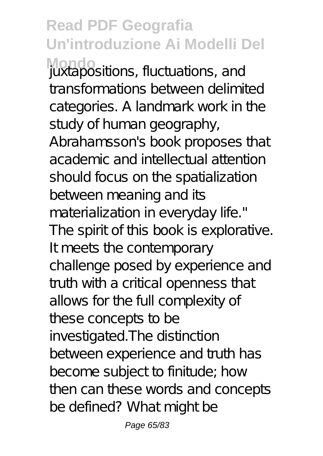**Read PDF Geografia Un'introduzione Ai Modelli Del Mondo** juxtapositions, fluctuations, and transformations between delimited categories. A landmark work in the study of human geography, Abrahamsson's book proposes that academic and intellectual attention should focus on the spatialization between meaning and its materialization in everyday life." The spirit of this book is explorative. It meets the contemporary challenge posed by experience and truth with a critical openness that allows for the full complexity of these concepts to be investigated. The distinction between experience and truth has become subject to finitude; how then can these words and concepts be defined? What might be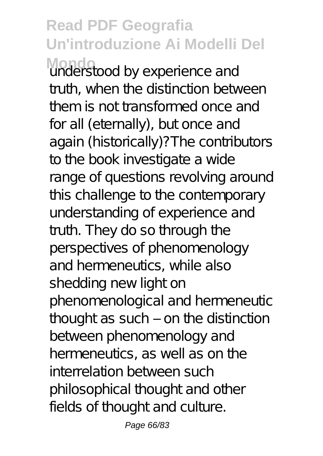**Mondo** understood by experience and truth, when the distinction between them is not transformed once and for all (eternally), but once and again (historically)?The contributors to the book investigate a wide range of questions revolving around this challenge to the contemporary understanding of experience and truth. They do so through the perspectives of phenomenology and hermeneutics, while also shedding new light on phenomenological and hermeneutic thought as such  $-$  on the distinction between phenomenology and hermeneutics, as well as on the interrelation between such philosophical thought and other fields of thought and culture.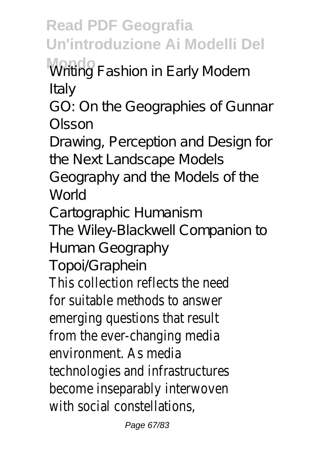**Read PDF Geografia Un'introduzione Ai Modelli Del** Writing Fashion in Early Modern

Italy

GO: On the Geographies of Gunnar Olsson

Drawing, Perception and Design for the Next Landscape Models

Geography and the Models of the World

Cartographic Humanism

The Wiley-Blackwell Companion to Human Geography

Topoi/Graphein

This collection reflects the need for suitable methods to answer emerging questions that result from the ever-changing media environment. As media technologies and infrastructures become inseparably interwoven with social constellations,

Page 67/83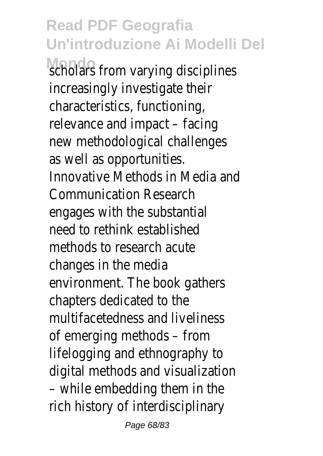### **Read PDF Geografia Un'introduzione Ai Modelli Del Mondo** scholars from varying disciplines

increasingly investigate their characteristics, functioning, relevance and impact – facing new methodological challenges as well as opportunities. Innovative Methods in Media and Communication Research engages with the substantial need to rethink established methods to research acute changes in the media environment. The book gathers chapters dedicated to the multifacetedness and liveliness of emerging methods – from lifelogging and ethnography to digital methods and visualization – while embedding them in the rich history of interdisciplinary

Page 68/83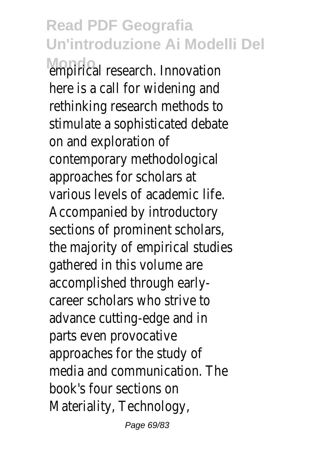**Mondo** empirical research. Innovation here is a call for widening and rethinking research methods to stimulate a sophisticated debate on and exploration of contemporary methodological approaches for scholars at various levels of academic life. Accompanied by introductory sections of prominent scholars, the majority of empirical studies gathered in this volume are accomplished through earlycareer scholars who strive to advance cutting-edge and in parts even provocative approaches for the study of media and communication. The book's four sections on Materiality, Technology,

Page 69/83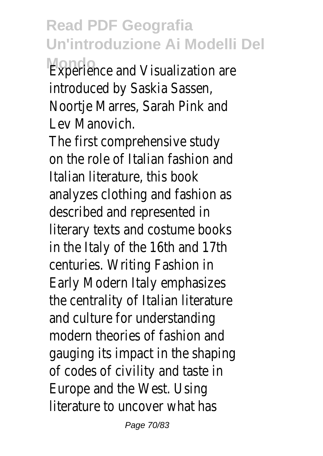**Read PDF Geografia Un'introduzione Ai Modelli Del Experience and Visualization are** 

introduced by Saskia Sassen, Noortje Marres, Sarah Pink and Lev Manovich.

The first comprehensive study on the role of Italian fashion and Italian literature, this book analyzes clothing and fashion as described and represented in literary texts and costume books in the Italy of the 16th and 17th centuries. Writing Fashion in Early Modern Italy emphasizes the centrality of Italian literature and culture for understanding modern theories of fashion and gauging its impact in the shaping of codes of civility and taste in Europe and the West. Using literature to uncover what has

Page 70/83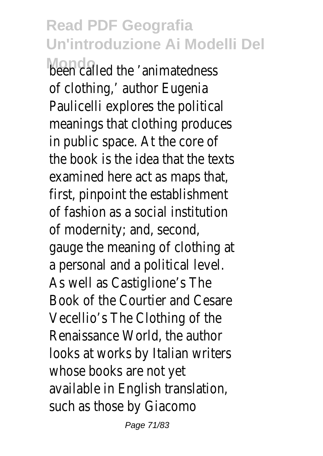**Mondo**<br>heen called the 'animatedness of clothing,' author Eugenia Paulicelli explores the political meanings that clothing produces in public space. At the core of the book is the idea that the texts examined here act as maps that, first, pinpoint the establishment of fashion as a social institution of modernity; and, second, gauge the meaning of clothing at a personal and a political level. As well as Castiglione's The Book of the Courtier and Cesare Vecellio's The Clothing of the Renaissance World, the author looks at works by Italian writers whose books are not yet available in English translation, such as those by Giacomo

Page 71/83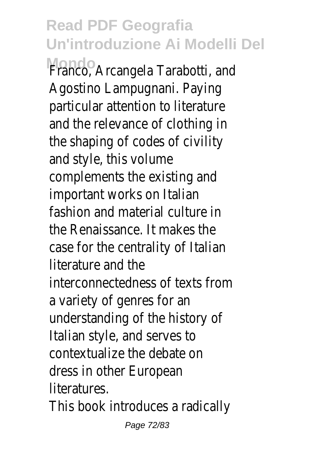**Mondo** Franco, Arcangela Tarabotti, and Agostino Lampugnani. Paying particular attention to literature and the relevance of clothing in the shaping of codes of civility and style, this volume complements the existing and important works on Italian fashion and material culture in the Renaissance. It makes the case for the centrality of Italian literature and the interconnectedness of texts from a variety of genres for an understanding of the history of Italian style, and serves to contextualize the debate on dress in other European literatures.

This book introduces a radically

Page 72/83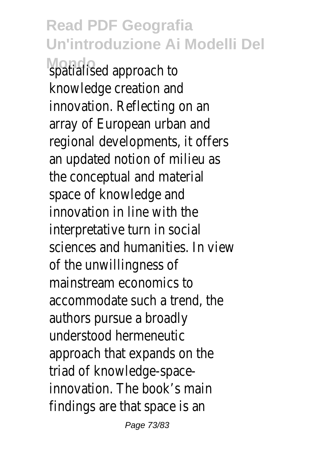## **Read PDF Geografia Un'introduzione Ai Modelli Del Mondo**<br>spatialised approach to

knowledge creation and innovation. Reflecting on an array of European urban and regional developments, it offers an updated notion of milieu as the conceptual and material space of knowledge and innovation in line with the interpretative turn in socia sciences and humanities. In view of the unwillingness of mainstream economics to accommodate such a trend, the authors pursue a broadly understood hermeneutic approach that expands on the triad of knowledge-spaceinnovation. The book's mair findings are that space is an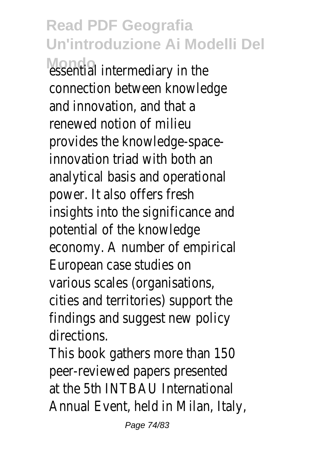Mondo<br>
essential intermediary in the connection between knowledge and innovation, and that a renewed notion of milieu provides the knowledge-space innovation triad with both an analytical basis and operational power. It also offers fresh insights into the significance and potential of the knowledge economy. A number of empirical European case studies on various scales (organisations, cities and territories) support the findings and suggest new policy directions.

This book gathers more than 150 peer-reviewed papers presented at the 5th INTBAU International Annual Event, held in Milan, Italy,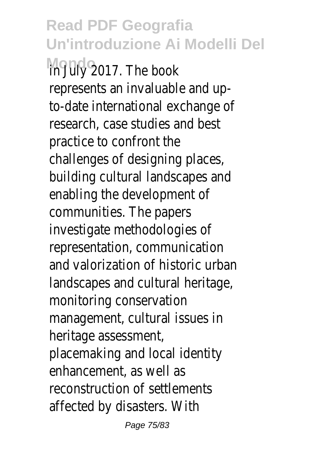**Read PDF Geografia Un'introduzione Ai Modelli Del Mondo** 2017. The book represents an invaluable and upto-date international exchange of research, case studies and best practice to confront the challenges of designing places, building cultural landscapes and enabling the development of communities. The papers investigate methodologies of representation, communication and valorization of historic urban landscapes and cultural heritage monitoring conservation management, cultural issues in heritage assessment, placemaking and local identity enhancement, as well as reconstruction of settlements affected by disasters. With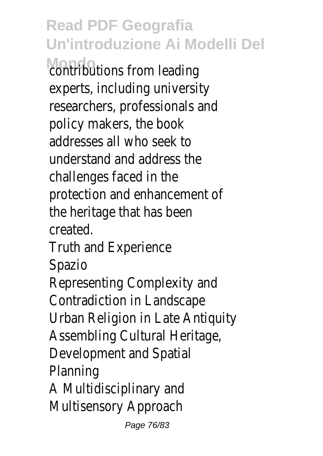**Montributions from leading** experts, including university researchers, professionals and policy makers, the book addresses all who seek to understand and address the challenges faced in the protection and enhancement of the heritage that has been created.

Truth and Experience Spazio

Representing Complexity and Contradiction in Landscape Urban Religion in Late Antiquity Assembling Cultural Heritage, Development and Spatia Planning A Multidisciplinary and Multisensory Approach

Page 76/83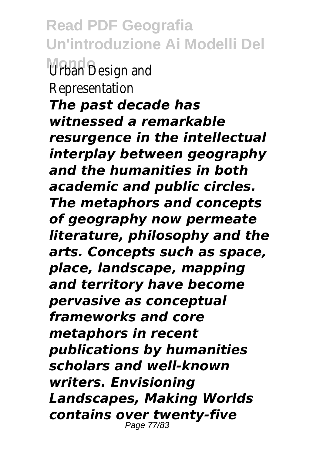**Read PDF Geografia Un'introduzione Ai Modelli Del** *Urban Design and* **Representation** *The past decade has witnessed a remarkable resurgence in the intellectual interplay between geography and the humanities in both academic and public circles. The metaphors and concepts of geography now permeate literature, philosophy and the arts. Concepts such as space, place, landscape, mapping and territory have become pervasive as conceptual frameworks and core metaphors in recent publications by humanities scholars and well-known writers. Envisioning Landscapes, Making Worlds contains over twenty-five* Page 77/83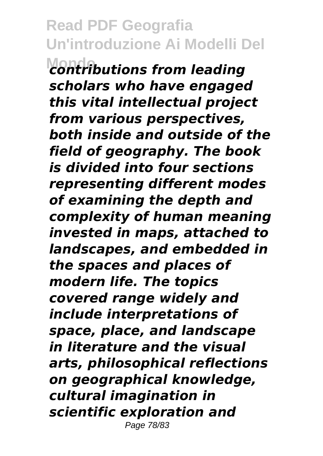**Montributions from leading** *scholars who have engaged this vital intellectual project from various perspectives, both inside and outside of the field of geography. The book is divided into four sections representing different modes of examining the depth and complexity of human meaning invested in maps, attached to landscapes, and embedded in the spaces and places of modern life. The topics covered range widely and include interpretations of space, place, and landscape in literature and the visual arts, philosophical reflections on geographical knowledge, cultural imagination in scientific exploration and* Page 78/83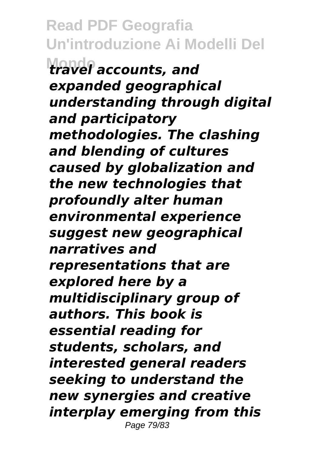**Read PDF Geografia Un'introduzione Ai Modelli Del Mondo** *travel accounts, and expanded geographical understanding through digital and participatory methodologies. The clashing and blending of cultures caused by globalization and the new technologies that profoundly alter human environmental experience suggest new geographical narratives and representations that are explored here by a multidisciplinary group of authors. This book is essential reading for students, scholars, and interested general readers seeking to understand the new synergies and creative interplay emerging from this* Page 79/83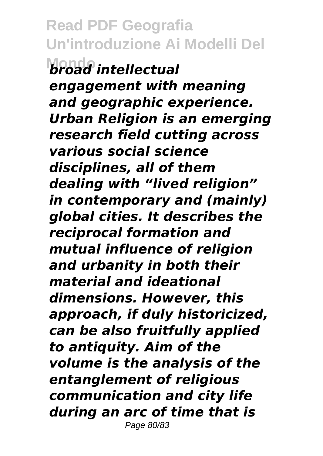**Read PDF Geografia Un'introduzione Ai Modelli Del Mondo** *broad intellectual engagement with meaning and geographic experience. Urban Religion is an emerging research field cutting across various social science disciplines, all of them dealing with "lived religion" in contemporary and (mainly) global cities. It describes the reciprocal formation and mutual influence of religion and urbanity in both their material and ideational dimensions. However, this approach, if duly historicized, can be also fruitfully applied to antiquity. Aim of the volume is the analysis of the entanglement of religious communication and city life during an arc of time that is* Page 80/83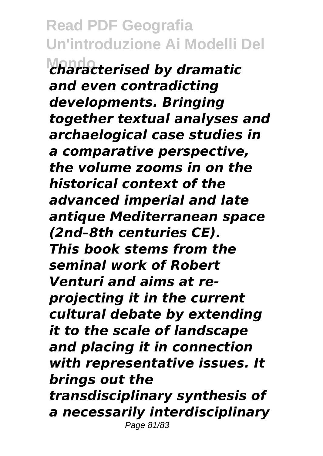**Read PDF Geografia Un'introduzione Ai Modelli Del Mondo** *characterised by dramatic and even contradicting developments. Bringing together textual analyses and archaelogical case studies in a comparative perspective, the volume zooms in on the historical context of the advanced imperial and late antique Mediterranean space (2nd–8th centuries CE). This book stems from the seminal work of Robert Venturi and aims at reprojecting it in the current cultural debate by extending it to the scale of landscape and placing it in connection with representative issues. It brings out the transdisciplinary synthesis of*

*a necessarily interdisciplinary* Page 81/83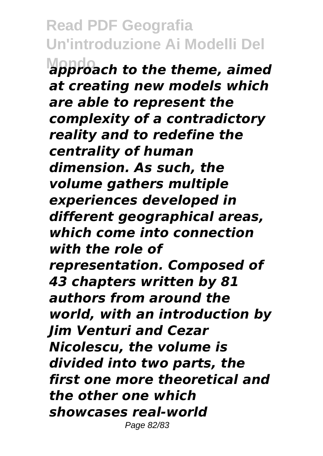**Mondo** *approach to the theme, aimed at creating new models which are able to represent the complexity of a contradictory reality and to redefine the centrality of human dimension. As such, the volume gathers multiple experiences developed in different geographical areas, which come into connection with the role of representation. Composed of 43 chapters written by 81 authors from around the world, with an introduction by Jim Venturi and Cezar Nicolescu, the volume is divided into two parts, the first one more theoretical and the other one which showcases real-world* Page 82/83